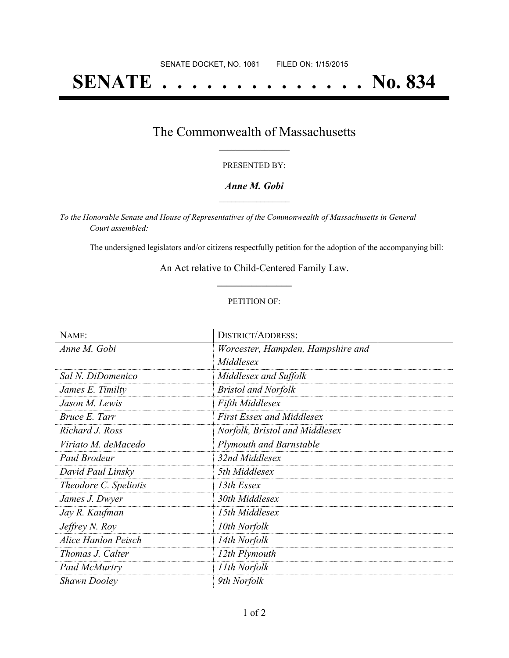# **SENATE . . . . . . . . . . . . . . No. 834**

### The Commonwealth of Massachusetts **\_\_\_\_\_\_\_\_\_\_\_\_\_\_\_\_\_**

#### PRESENTED BY:

#### *Anne M. Gobi* **\_\_\_\_\_\_\_\_\_\_\_\_\_\_\_\_\_**

*To the Honorable Senate and House of Representatives of the Commonwealth of Massachusetts in General Court assembled:*

The undersigned legislators and/or citizens respectfully petition for the adoption of the accompanying bill:

An Act relative to Child-Centered Family Law. **\_\_\_\_\_\_\_\_\_\_\_\_\_\_\_**

#### PETITION OF:

| NAME:                        | <b>DISTRICT/ADDRESS:</b>          |  |
|------------------------------|-----------------------------------|--|
| Anne M. Gobi                 | Worcester, Hampden, Hampshire and |  |
|                              | Middlesex                         |  |
| Sal N. DiDomenico            | Middlesex and Suffolk             |  |
| James E. Timilty             | <b>Bristol and Norfolk</b>        |  |
| Jason M. Lewis               | <b>Fifth Middlesex</b>            |  |
| Bruce E. Tarr                | <b>First Essex and Middlesex</b>  |  |
| Richard J. Ross              | Norfolk, Bristol and Middlesex    |  |
| Viriato M. deMacedo          | <b>Plymouth and Barnstable</b>    |  |
| Paul Brodeur                 | 32nd Middlesex                    |  |
| David Paul Linsky            | 5th Middlesex                     |  |
| <i>Theodore C. Speliotis</i> | 13th Essex                        |  |
| James J. Dwyer               | 30th Middlesex                    |  |
| Jay R. Kaufman               | 15th Middlesex                    |  |
| Jeffrey N. Roy               | 10th Norfolk                      |  |
| <b>Alice Hanlon Peisch</b>   | 14th Norfolk                      |  |
| Thomas J. Calter             | 12th Plymouth                     |  |
| Paul McMurtry                | 11th Norfolk                      |  |
| <b>Shawn Dooley</b>          | 9th Norfolk                       |  |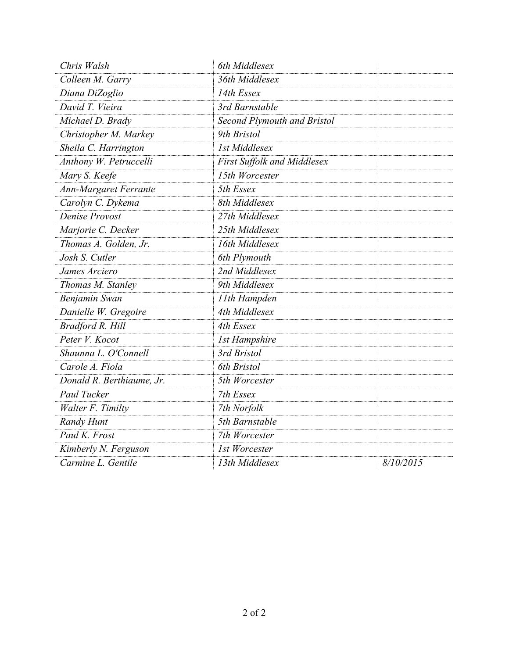| Chris Walsh                  | 6th Middlesex                      |           |
|------------------------------|------------------------------------|-----------|
| Colleen M. Garry             | 36th Middlesex                     |           |
| Diana DiZoglio               | 14th Essex                         |           |
| David T. Vieira              | 3rd Barnstable                     |           |
| Michael D. Brady             | Second Plymouth and Bristol        |           |
| Christopher M. Markey        | 9th Bristol                        |           |
| Sheila C. Harrington         | <b>1st Middlesex</b>               |           |
| Anthony W. Petruccelli       | <b>First Suffolk and Middlesex</b> |           |
| Mary S. Keefe                | 15th Worcester                     |           |
| <b>Ann-Margaret Ferrante</b> | 5th Essex                          |           |
| Carolyn C. Dykema            | 8th Middlesex                      |           |
| Denise Provost               | 27th Middlesex                     |           |
| Marjorie C. Decker           | 25th Middlesex                     |           |
| Thomas A. Golden, Jr.        | 16th Middlesex                     |           |
| Josh S. Cutler               | 6th Plymouth                       |           |
| James Arciero                | 2nd Middlesex                      |           |
| Thomas M. Stanley            | 9th Middlesex                      |           |
| Benjamin Swan                | 11th Hampden                       |           |
| Danielle W. Gregoire         | 4th Middlesex                      |           |
| Bradford R. Hill             | 4th Essex                          |           |
| Peter V. Kocot               | <b>1st Hampshire</b>               |           |
| Shaunna L. O'Connell         | 3rd Bristol                        |           |
| Carole A. Fiola              | 6th Bristol                        |           |
| Donald R. Berthiaume, Jr.    | 5th Worcester                      |           |
| Paul Tucker                  | 7th Essex                          |           |
| Walter F. Timilty            | 7th Norfolk                        |           |
| Randy Hunt                   | 5th Barnstable                     |           |
| Paul K. Frost                | 7th Worcester                      |           |
| Kimberly N. Ferguson         | 1st Worcester                      |           |
| Carmine L. Gentile           | 13th Middlesex                     | 8/10/2015 |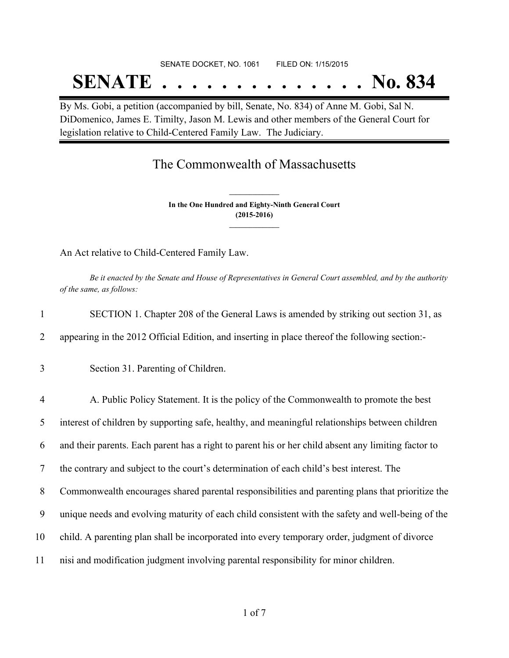# SENATE DOCKET, NO. 1061 FILED ON: 1/15/2015 **SENATE . . . . . . . . . . . . . . No. 834**

By Ms. Gobi, a petition (accompanied by bill, Senate, No. 834) of Anne M. Gobi, Sal N. DiDomenico, James E. Timilty, Jason M. Lewis and other members of the General Court for legislation relative to Child-Centered Family Law. The Judiciary.

## The Commonwealth of Massachusetts

**In the One Hundred and Eighty-Ninth General Court (2015-2016) \_\_\_\_\_\_\_\_\_\_\_\_\_\_\_**

**\_\_\_\_\_\_\_\_\_\_\_\_\_\_\_**

An Act relative to Child-Centered Family Law.

Be it enacted by the Senate and House of Representatives in General Court assembled, and by the authority *of the same, as follows:*

| $\mathbf{1}$   | SECTION 1. Chapter 208 of the General Laws is amended by striking out section 31, as                |
|----------------|-----------------------------------------------------------------------------------------------------|
| 2              | appearing in the 2012 Official Edition, and inserting in place thereof the following section:-      |
| 3              | Section 31. Parenting of Children.                                                                  |
| $\overline{4}$ | A. Public Policy Statement. It is the policy of the Commonwealth to promote the best                |
| 5              | interest of children by supporting safe, healthy, and meaningful relationships between children     |
| 6              | and their parents. Each parent has a right to parent his or her child absent any limiting factor to |
| 7              | the contrary and subject to the court's determination of each child's best interest. The            |
| 8              | Commonwealth encourages shared parental responsibilities and parenting plans that prioritize the    |
| 9              | unique needs and evolving maturity of each child consistent with the safety and well-being of the   |
| 10             | child. A parenting plan shall be incorporated into every temporary order, judgment of divorce       |
| 11             | nisi and modification judgment involving parental responsibility for minor children.                |
|                |                                                                                                     |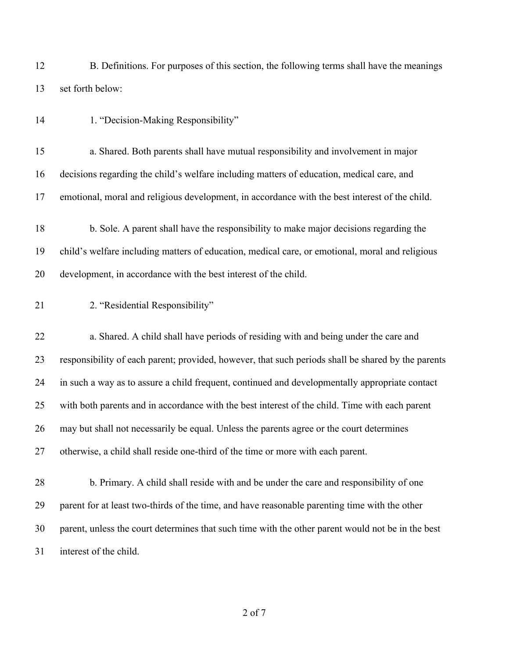B. Definitions. For purposes of this section, the following terms shall have the meanings set forth below:

14 1. "Decision-Making Responsibility"

 a. Shared. Both parents shall have mutual responsibility and involvement in major decisions regarding the child's welfare including matters of education, medical care, and emotional, moral and religious development, in accordance with the best interest of the child.

 b. Sole. A parent shall have the responsibility to make major decisions regarding the child's welfare including matters of education, medical care, or emotional, moral and religious development, in accordance with the best interest of the child.

2. "Residential Responsibility"

 a. Shared. A child shall have periods of residing with and being under the care and responsibility of each parent; provided, however, that such periods shall be shared by the parents in such a way as to assure a child frequent, continued and developmentally appropriate contact with both parents and in accordance with the best interest of the child. Time with each parent may but shall not necessarily be equal. Unless the parents agree or the court determines otherwise, a child shall reside one-third of the time or more with each parent.

 b. Primary. A child shall reside with and be under the care and responsibility of one parent for at least two-thirds of the time, and have reasonable parenting time with the other parent, unless the court determines that such time with the other parent would not be in the best interest of the child.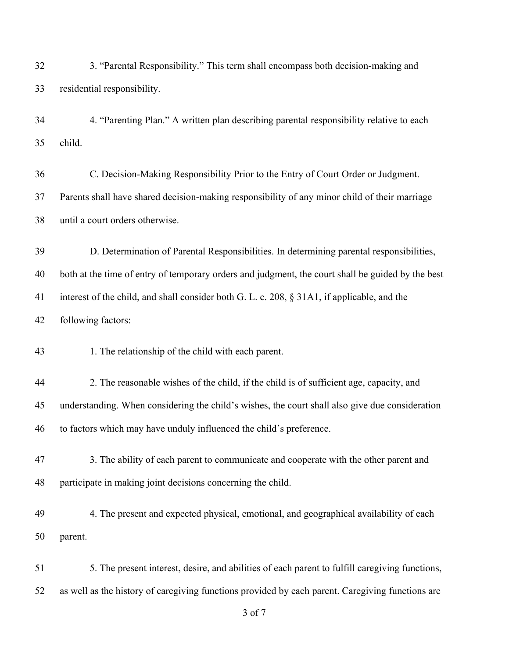of 7 3. "Parental Responsibility." This term shall encompass both decision-making and residential responsibility. 4. "Parenting Plan." A written plan describing parental responsibility relative to each child. C. Decision-Making Responsibility Prior to the Entry of Court Order or Judgment. Parents shall have shared decision-making responsibility of any minor child of their marriage until a court orders otherwise. D. Determination of Parental Responsibilities. In determining parental responsibilities, both at the time of entry of temporary orders and judgment, the court shall be guided by the best interest of the child, and shall consider both G. L. c. 208, § 31A1, if applicable, and the following factors: 1. The relationship of the child with each parent. 2. The reasonable wishes of the child, if the child is of sufficient age, capacity, and understanding. When considering the child's wishes, the court shall also give due consideration to factors which may have unduly influenced the child's preference. 3. The ability of each parent to communicate and cooperate with the other parent and participate in making joint decisions concerning the child. 4. The present and expected physical, emotional, and geographical availability of each parent. 5. The present interest, desire, and abilities of each parent to fulfill caregiving functions, as well as the history of caregiving functions provided by each parent. Caregiving functions are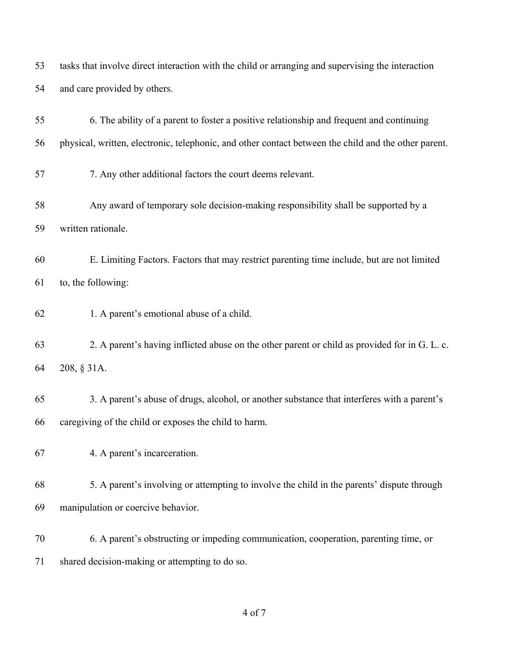tasks that involve direct interaction with the child or arranging and supervising the interaction and care provided by others.

| 55 | 6. The ability of a parent to foster a positive relationship and frequent and continuing             |
|----|------------------------------------------------------------------------------------------------------|
| 56 | physical, written, electronic, telephonic, and other contact between the child and the other parent. |
| 57 | 7. Any other additional factors the court deems relevant.                                            |
| 58 | Any award of temporary sole decision-making responsibility shall be supported by a                   |
| 59 | written rationale.                                                                                   |
| 60 | E. Limiting Factors. Factors that may restrict parenting time include, but are not limited           |
| 61 | to, the following:                                                                                   |
| 62 | 1. A parent's emotional abuse of a child.                                                            |
| 63 | 2. A parent's having inflicted abuse on the other parent or child as provided for in G. L. c.        |
| 64 | 208, § 31A.                                                                                          |
| 65 | 3. A parent's abuse of drugs, alcohol, or another substance that interferes with a parent's          |
| 66 | caregiving of the child or exposes the child to harm.                                                |
| 67 | 4. A parent's incarceration.                                                                         |
| 68 | 5. A parent's involving or attempting to involve the child in the parents' dispute through           |
| 69 | manipulation or coercive behavior.                                                                   |
| 70 | 6. A parent's obstructing or impeding communication, cooperation, parenting time, or                 |
| 71 | shared decision-making or attempting to do so.                                                       |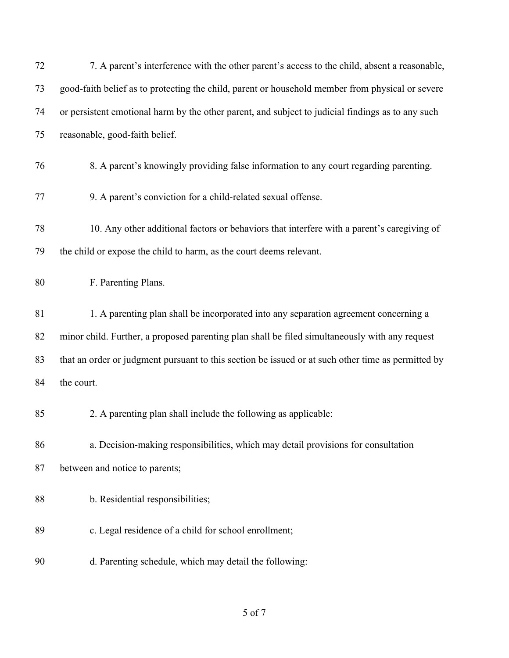| 72 | 7. A parent's interference with the other parent's access to the child, absent a reasonable,       |
|----|----------------------------------------------------------------------------------------------------|
| 73 | good-faith belief as to protecting the child, parent or household member from physical or severe   |
| 74 | or persistent emotional harm by the other parent, and subject to judicial findings as to any such  |
| 75 | reasonable, good-faith belief.                                                                     |
| 76 | 8. A parent's knowingly providing false information to any court regarding parenting.              |
| 77 | 9. A parent's conviction for a child-related sexual offense.                                       |
| 78 | 10. Any other additional factors or behaviors that interfere with a parent's caregiving of         |
| 79 | the child or expose the child to harm, as the court deems relevant.                                |
| 80 | F. Parenting Plans.                                                                                |
| 81 | 1. A parenting plan shall be incorporated into any separation agreement concerning a               |
| 82 | minor child. Further, a proposed parenting plan shall be filed simultaneously with any request     |
| 83 | that an order or judgment pursuant to this section be issued or at such other time as permitted by |
| 84 | the court.                                                                                         |
| 85 | 2. A parenting plan shall include the following as applicable:                                     |
| 86 | a. Decision-making responsibilities, which may detail provisions for consultation                  |
| 87 | between and notice to parents;                                                                     |
| 88 | b. Residential responsibilities;                                                                   |
| 89 | c. Legal residence of a child for school enrollment;                                               |
| 90 | d. Parenting schedule, which may detail the following:                                             |

of 7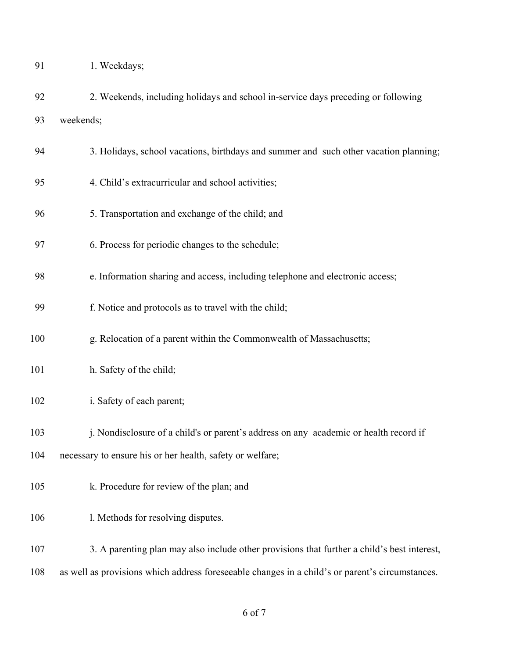| 1. Weekdays; |
|--------------|
|              |

- 2. Weekends, including holidays and school in-service days preceding or following weekends;
- 3. Holidays, school vacations, birthdays and summer and such other vacation planning;
- 4. Child's extracurricular and school activities;
- 5. Transportation and exchange of the child; and
- 6. Process for periodic changes to the schedule;
- e. Information sharing and access, including telephone and electronic access;
- f. Notice and protocols as to travel with the child;
- g. Relocation of a parent within the Commonwealth of Massachusetts;
- 101 h. Safety of the child;
- 102 i. Safety of each parent;
- 103 i. Nondisclosure of a child's or parent's address on any academic or health record if
- necessary to ensure his or her health, safety or welfare;
- k. Procedure for review of the plan; and
- 106 1. Methods for resolving disputes.
- 3. A parenting plan may also include other provisions that further a child's best interest,
- as well as provisions which address foreseeable changes in a child's or parent's circumstances.